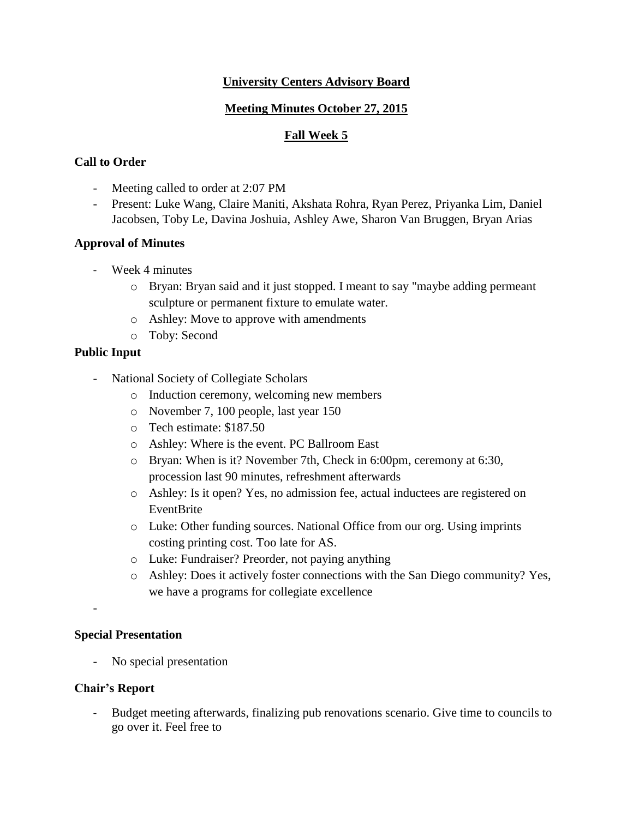## **University Centers Advisory Board**

## **Meeting Minutes October 27, 2015**

## **Fall Week 5**

# **Call to Order**

- Meeting called to order at 2:07 PM
- Present: Luke Wang, Claire Maniti, Akshata Rohra, Ryan Perez, Priyanka Lim, Daniel Jacobsen, Toby Le, Davina Joshuia, Ashley Awe, Sharon Van Bruggen, Bryan Arias

### **Approval of Minutes**

- Week 4 minutes
	- o Bryan: Bryan said and it just stopped. I meant to say "maybe adding permeant sculpture or permanent fixture to emulate water.
	- o Ashley: Move to approve with amendments
	- o Toby: Second

## **Public Input**

- National Society of Collegiate Scholars
	- o Induction ceremony, welcoming new members
	- o November 7, 100 people, last year 150
	- o Tech estimate: \$187.50
	- o Ashley: Where is the event. PC Ballroom East
	- o Bryan: When is it? November 7th, Check in 6:00pm, ceremony at 6:30, procession last 90 minutes, refreshment afterwards
	- o Ashley: Is it open? Yes, no admission fee, actual inductees are registered on EventBrite
	- o Luke: Other funding sources. National Office from our org. Using imprints costing printing cost. Too late for AS.
	- o Luke: Fundraiser? Preorder, not paying anything
	- o Ashley: Does it actively foster connections with the San Diego community? Yes, we have a programs for collegiate excellence

### **Special Presentation**

- No special presentation

### **Chair's Report**

-

- Budget meeting afterwards, finalizing pub renovations scenario. Give time to councils to go over it. Feel free to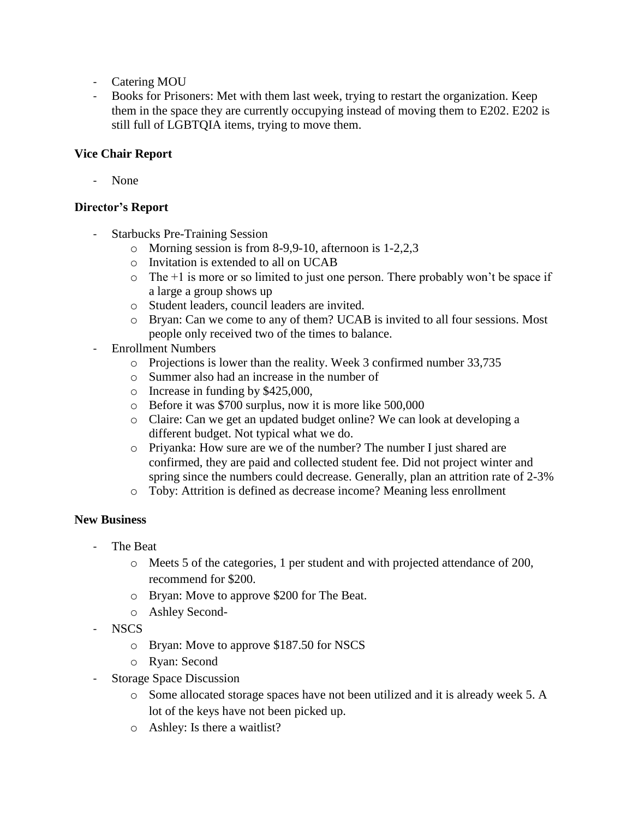- Catering MOU
- Books for Prisoners: Met with them last week, trying to restart the organization. Keep them in the space they are currently occupying instead of moving them to E202. E202 is still full of LGBTQIA items, trying to move them.

### **Vice Chair Report**

None

#### **Director's Report**

- Starbucks Pre-Training Session
	- o Morning session is from 8-9,9-10, afternoon is 1-2,2,3
	- o Invitation is extended to all on UCAB
	- $\circ$  The +1 is more or so limited to just one person. There probably won't be space if a large a group shows up
	- o Student leaders, council leaders are invited.
	- o Bryan: Can we come to any of them? UCAB is invited to all four sessions. Most people only received two of the times to balance.
- Enrollment Numbers
	- o Projections is lower than the reality. Week 3 confirmed number 33,735
	- o Summer also had an increase in the number of
	- o Increase in funding by \$425,000,
	- o Before it was \$700 surplus, now it is more like 500,000
	- o Claire: Can we get an updated budget online? We can look at developing a different budget. Not typical what we do.
	- o Priyanka: How sure are we of the number? The number I just shared are confirmed, they are paid and collected student fee. Did not project winter and spring since the numbers could decrease. Generally, plan an attrition rate of 2-3%
	- o Toby: Attrition is defined as decrease income? Meaning less enrollment

### **New Business**

- The Beat
	- o Meets 5 of the categories, 1 per student and with projected attendance of 200, recommend for \$200.
	- o Bryan: Move to approve \$200 for The Beat.
	- o Ashley Second-
- NSCS
	- o Bryan: Move to approve \$187.50 for NSCS
	- o Ryan: Second
- Storage Space Discussion
	- o Some allocated storage spaces have not been utilized and it is already week 5. A lot of the keys have not been picked up.
	- o Ashley: Is there a waitlist?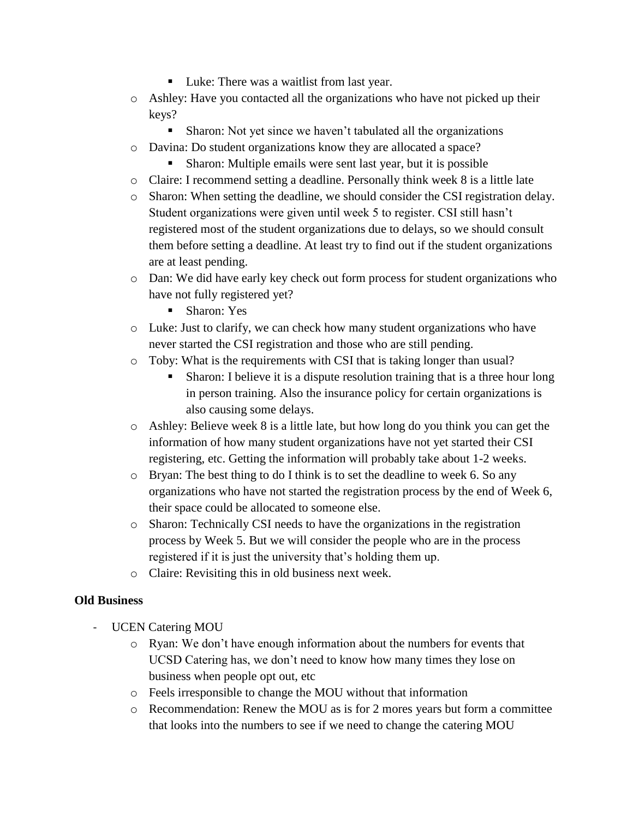- Luke: There was a waitlist from last year.
- o Ashley: Have you contacted all the organizations who have not picked up their keys?
	- **Sharon:** Not yet since we haven't tabulated all the organizations
- o Davina: Do student organizations know they are allocated a space?
	- Sharon: Multiple emails were sent last year, but it is possible
- o Claire: I recommend setting a deadline. Personally think week 8 is a little late
- o Sharon: When setting the deadline, we should consider the CSI registration delay. Student organizations were given until week 5 to register. CSI still hasn't registered most of the student organizations due to delays, so we should consult them before setting a deadline. At least try to find out if the student organizations are at least pending.
- o Dan: We did have early key check out form process for student organizations who have not fully registered yet?
	- Sharon: Yes
- o Luke: Just to clarify, we can check how many student organizations who have never started the CSI registration and those who are still pending.
- o Toby: What is the requirements with CSI that is taking longer than usual?
	- Sharon: I believe it is a dispute resolution training that is a three hour long in person training. Also the insurance policy for certain organizations is also causing some delays.
- o Ashley: Believe week 8 is a little late, but how long do you think you can get the information of how many student organizations have not yet started their CSI registering, etc. Getting the information will probably take about 1-2 weeks.
- o Bryan: The best thing to do I think is to set the deadline to week 6. So any organizations who have not started the registration process by the end of Week 6, their space could be allocated to someone else.
- o Sharon: Technically CSI needs to have the organizations in the registration process by Week 5. But we will consider the people who are in the process registered if it is just the university that's holding them up.
- o Claire: Revisiting this in old business next week.

# **Old Business**

- UCEN Catering MOU
	- o Ryan: We don't have enough information about the numbers for events that UCSD Catering has, we don't need to know how many times they lose on business when people opt out, etc
	- o Feels irresponsible to change the MOU without that information
	- o Recommendation: Renew the MOU as is for 2 mores years but form a committee that looks into the numbers to see if we need to change the catering MOU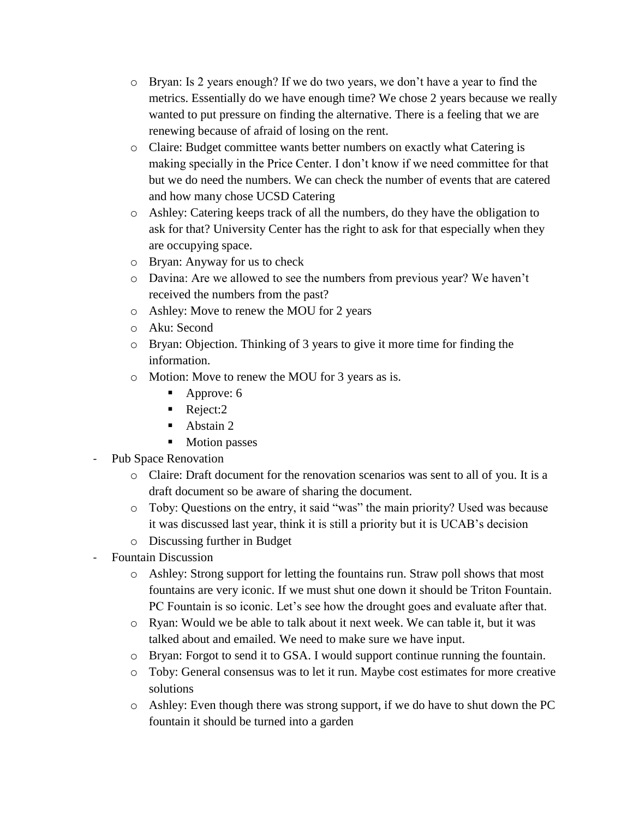- o Bryan: Is 2 years enough? If we do two years, we don't have a year to find the metrics. Essentially do we have enough time? We chose 2 years because we really wanted to put pressure on finding the alternative. There is a feeling that we are renewing because of afraid of losing on the rent.
- o Claire: Budget committee wants better numbers on exactly what Catering is making specially in the Price Center. I don't know if we need committee for that but we do need the numbers. We can check the number of events that are catered and how many chose UCSD Catering
- o Ashley: Catering keeps track of all the numbers, do they have the obligation to ask for that? University Center has the right to ask for that especially when they are occupying space.
- o Bryan: Anyway for us to check
- o Davina: Are we allowed to see the numbers from previous year? We haven't received the numbers from the past?
- o Ashley: Move to renew the MOU for 2 years
- o Aku: Second
- o Bryan: Objection. Thinking of 3 years to give it more time for finding the information.
- o Motion: Move to renew the MOU for 3 years as is.
	- Approve: 6
	- Reject:2
	- Abstain 2
	- **Motion passes**
- Pub Space Renovation
	- o Claire: Draft document for the renovation scenarios was sent to all of you. It is a draft document so be aware of sharing the document.
	- o Toby: Questions on the entry, it said "was" the main priority? Used was because it was discussed last year, think it is still a priority but it is UCAB's decision
	- o Discussing further in Budget
- Fountain Discussion
	- o Ashley: Strong support for letting the fountains run. Straw poll shows that most fountains are very iconic. If we must shut one down it should be Triton Fountain. PC Fountain is so iconic. Let's see how the drought goes and evaluate after that.
	- o Ryan: Would we be able to talk about it next week. We can table it, but it was talked about and emailed. We need to make sure we have input.
	- o Bryan: Forgot to send it to GSA. I would support continue running the fountain.
	- o Toby: General consensus was to let it run. Maybe cost estimates for more creative solutions
	- o Ashley: Even though there was strong support, if we do have to shut down the PC fountain it should be turned into a garden